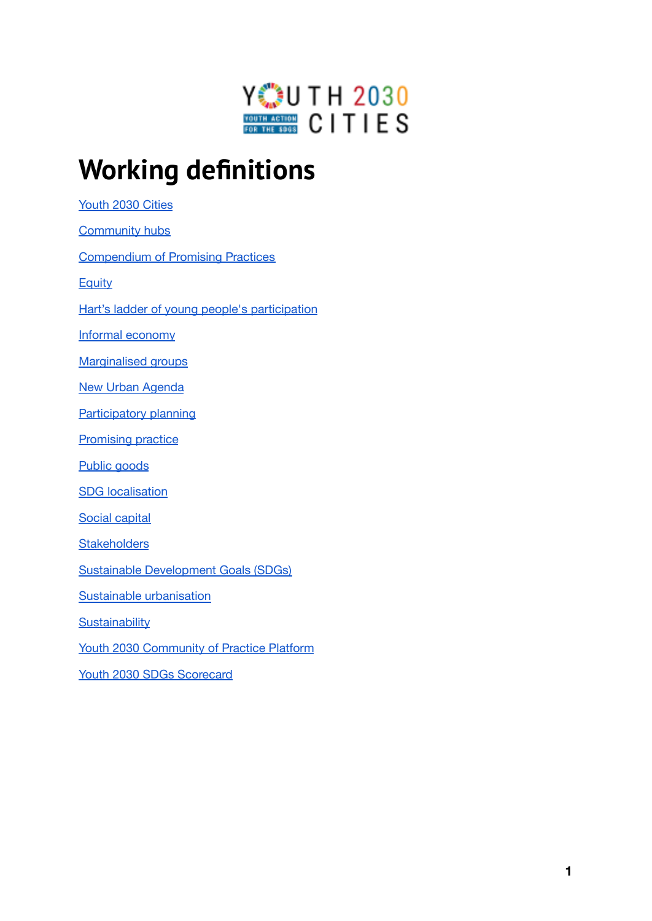

# **Working definitions**

[Youth](#page-1-0) 2030 Cities [Community](#page-1-1) hubs

[Compendium](#page-1-2) of Promising Practices

**[Equity](#page-1-3)** 

Hart's ladder of young people's [participation](#page-2-0)

Informal [economy](#page-2-1)

[Marginalised](#page-2-2) groups

New Urban [Agenda](#page-2-3)

[Participatory](#page-2-4) planning

**[Promising](#page-3-0) practice** 

Public [goods](#page-3-1)

**SDG** [localisation](#page-3-2)

Social [capital](#page-3-3)

**[Stakeholders](#page-4-0)** 

Sustainable [Development](#page-4-1) Goals (SDGs)

Sustainable [urbanisation](#page-4-2)

**[Sustainability](#page-4-3)** 

Youth 2030 [Community](#page-4-4) of Practice Platform

Youth 2030 SDGs Scorecard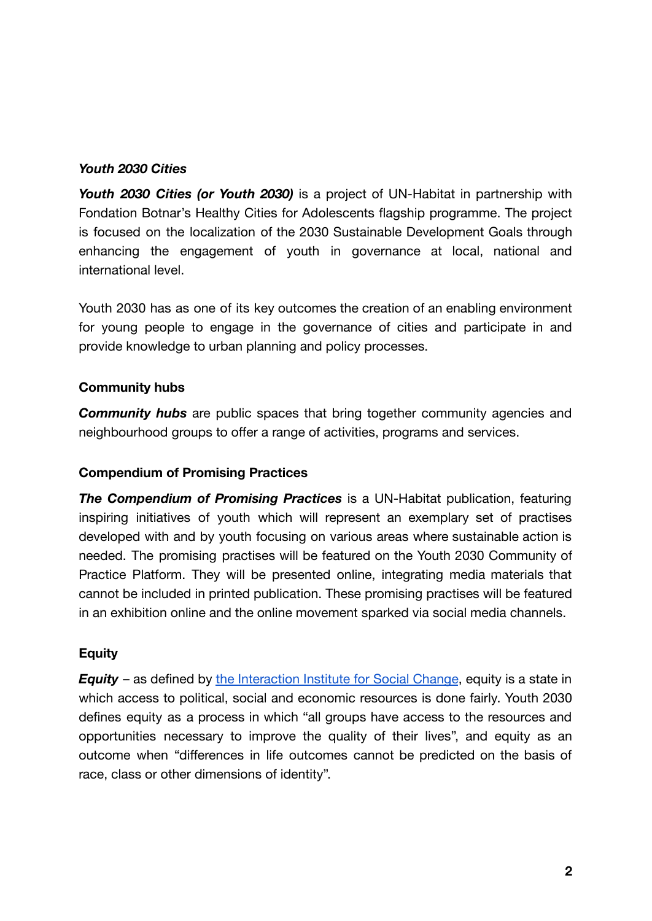#### <span id="page-1-0"></span>*Youth 2030 Cities*

*Youth 2030 Cities (or Youth 2030)* is a project of UN-Habitat in partnership with Fondation Botnar's Healthy Cities for Adolescents flagship programme. The project is focused on the localization of the 2030 Sustainable Development Goals through enhancing the engagement of youth in governance at local, national and international level.

Youth 2030 has as one of its key outcomes the creation of an enabling environment for young people to engage in the governance of cities and participate in and provide knowledge to urban planning and policy processes.

#### <span id="page-1-1"></span>**Community hubs**

*Community hubs* are public spaces that bring together community agencies and neighbourhood groups to offer a range of activities, programs and services.

## <span id="page-1-2"></span>**Compendium of Promising Practices**

*The Compendium of Promising Practices* is a UN-Habitat publication, featuring inspiring initiatives of youth which will represent an exemplary set of practises developed with and by youth focusing on various areas where sustainable action is needed. The promising practises will be featured on the Youth 2030 Community of Practice Platform. They will be presented online, integrating media materials that cannot be included in printed publication. These promising practises will be featured in an exhibition online and the online movement sparked via social media channels.

## <span id="page-1-3"></span>**Equity**

*Equity* – as defined by the [Interaction](https://interactioninstitute.org) Institute for Social Change, equity is a state in which access to political, social and economic resources is done fairly. Youth 2030 defines equity as a process in which "all groups have access to the resources and opportunities necessary to improve the quality of their lives", and equity as an outcome when "differences in life outcomes cannot be predicted on the basis of race, class or other dimensions of identity".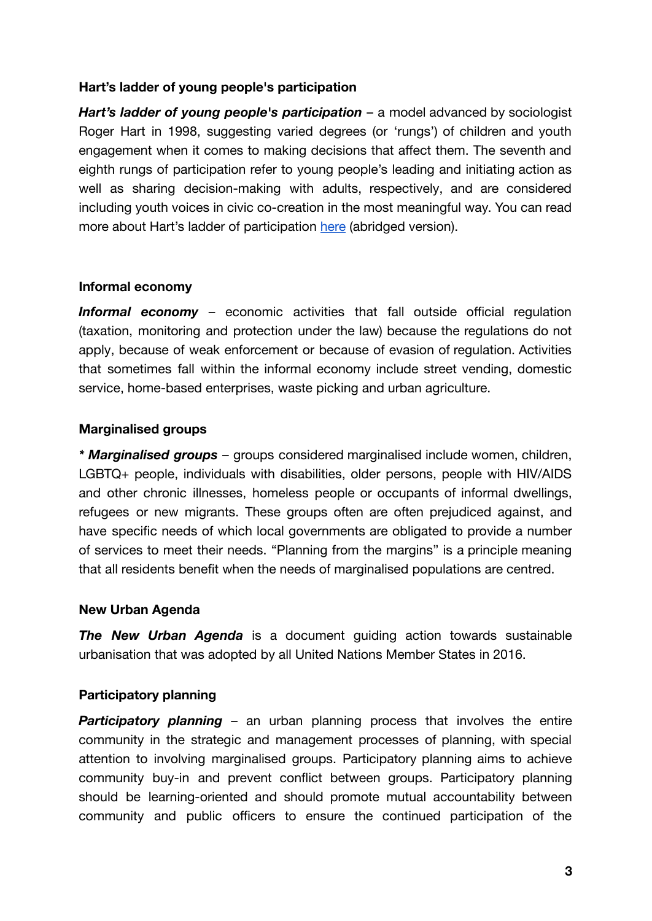#### <span id="page-2-0"></span>**Hart's ladder of young people's participation**

*Hart's ladder of young people's participation* – a model advanced by sociologist Roger Hart in 1998, suggesting varied degrees (or 'rungs') of children and youth engagement when it comes to making decisions that affect them. The seventh and eighth rungs of participation refer to young people's leading and initiating action as well as sharing decision-making with adults, respectively, and are considered including youth voices in civic co-creation in the most meaningful way. You can read more about Hart's ladder of participation [here](https://higherlogicdownload.s3.amazonaws.com/ASTC/00e37246-8bd9-481f-900c-ad9d6b6b3393/UploadedImages/Ladder_of_Participation_1.pdf) (abridged version).

#### <span id="page-2-1"></span>**Informal economy**

*Informal economy* – economic activities that fall outside official regulation (taxation, monitoring and protection under the law) because the regulations do not apply, because of weak enforcement or because of evasion of regulation. Activities that sometimes fall within the informal economy include street vending, domestic service, home-based enterprises, waste picking and urban agriculture.

#### <span id="page-2-2"></span>**Marginalised groups**

*\* Marginalised groups* – groups considered marginalised include women, children, LGBTQ+ people, individuals with disabilities, older persons, people with HIV/AIDS and other chronic illnesses, homeless people or occupants of informal dwellings, refugees or new migrants. These groups often are often prejudiced against, and have specific needs of which local governments are obligated to provide a number of services to meet their needs. "Planning from the margins" is a principle meaning that all residents benefit when the needs of marginalised populations are centred.

#### <span id="page-2-3"></span>**New Urban Agenda**

*The New Urban Agenda* is a document guiding action towards sustainable urbanisation that was adopted by all United Nations Member States in 2016.

## <span id="page-2-4"></span>**Participatory planning**

**Participatory planning** – an urban planning process that involves the entire community in the strategic and management processes of planning, with special attention to involving marginalised groups. Participatory planning aims to achieve community buy-in and prevent conflict between groups. Participatory planning should be learning-oriented and should promote mutual accountability between community and public officers to ensure the continued participation of the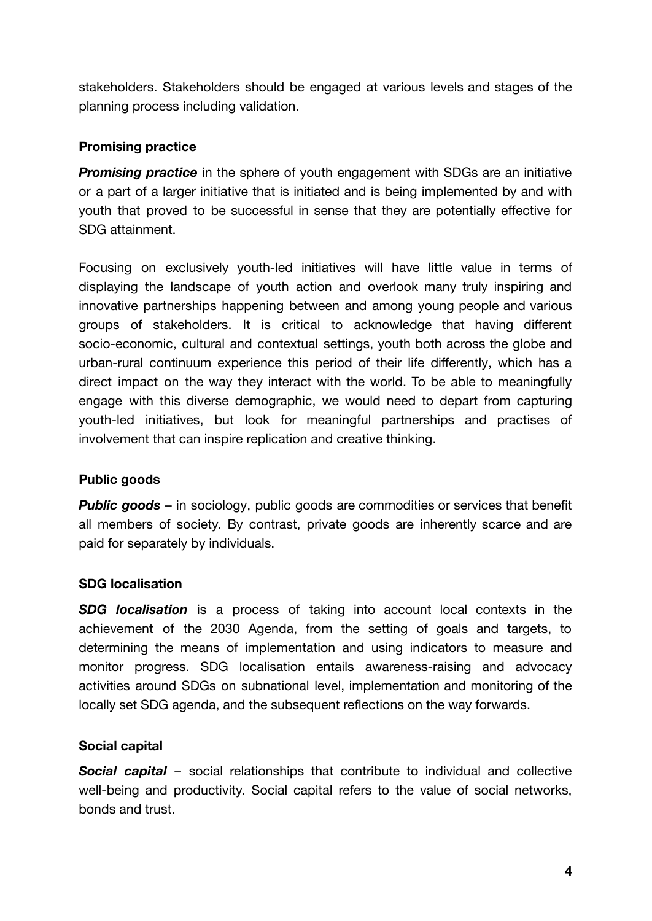stakeholders. Stakeholders should be engaged at various levels and stages of the planning process including validation.

## <span id="page-3-0"></span>**Promising practice**

**Promising practice** in the sphere of youth engagement with SDGs are an initiative or a part of a larger initiative that is initiated and is being implemented by and with youth that proved to be successful in sense that they are potentially effective for SDG attainment.

Focusing on exclusively youth-led initiatives will have little value in terms of displaying the landscape of youth action and overlook many truly inspiring and innovative partnerships happening between and among young people and various groups of stakeholders. It is critical to acknowledge that having different socio-economic, cultural and contextual settings, youth both across the globe and urban-rural continuum experience this period of their life differently, which has a direct impact on the way they interact with the world. To be able to meaningfully engage with this diverse demographic, we would need to depart from capturing youth-led initiatives, but look for meaningful partnerships and practises of involvement that can inspire replication and creative thinking.

## <span id="page-3-1"></span>**Public goods**

**Public goods** – in sociology, public goods are commodities or services that benefit all members of society. By contrast, private goods are inherently scarce and are paid for separately by individuals.

# <span id="page-3-2"></span>**SDG localisation**

*SDG localisation* is a process of taking into account local contexts in the achievement of the 2030 Agenda, from the setting of goals and targets, to determining the means of implementation and using indicators to measure and monitor progress. SDG localisation entails awareness-raising and advocacy activities around SDGs on subnational level, implementation and monitoring of the locally set SDG agenda, and the subsequent reflections on the way forwards.

# <span id="page-3-3"></span>**Social capital**

*Social capital* – social relationships that contribute to individual and collective well-being and productivity. Social capital refers to the value of social networks, bonds and trust.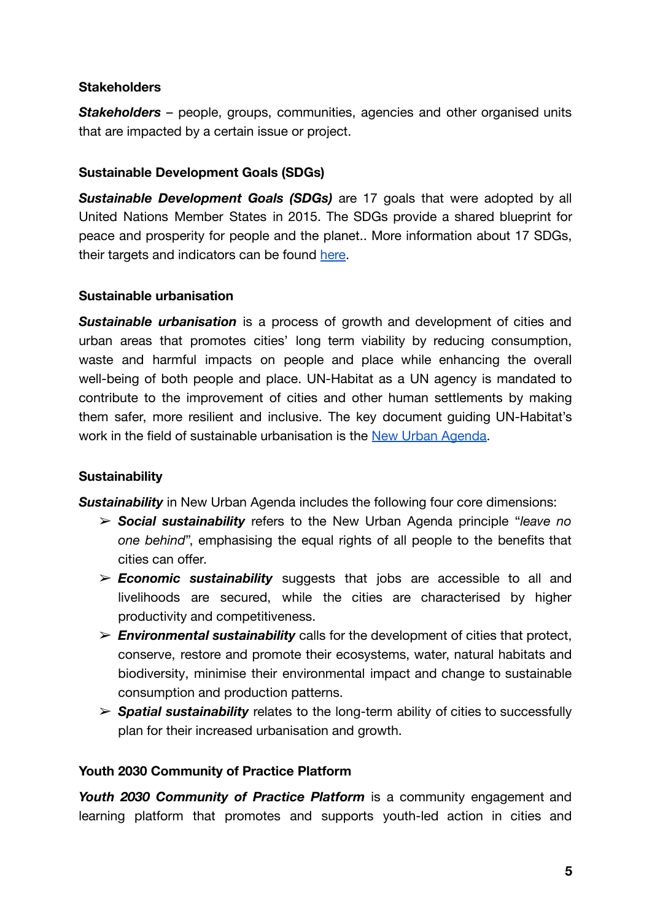## <span id="page-4-0"></span>**Stakeholders**

*Stakeholders* – people, groups, communities, agencies and other organised units that are impacted by a certain issue or project.

## <span id="page-4-1"></span>**Sustainable Development Goals (SDGs)**

*Sustainable Development Goals (SDGs)* are 17 goals that were adopted by all United Nations Member States in 2015. The SDGs provide a shared blueprint for peace and prosperity for people and the planet.. More information about 17 SDGs, their targets and indicators can be found [here](https://sdgs.un.org/goals).

#### <span id="page-4-2"></span>**Sustainable urbanisation**

*Sustainable urbanisation* is a process of growth and development of cities and urban areas that promotes cities' long term viability by reducing consumption, waste and harmful impacts on people and place while enhancing the overall well-being of both people and place. UN-Habitat as a UN agency is mandated to contribute to the improvement of cities and other human settlements by making them safer, more resilient and inclusive. The key document guiding UN-Habitat's work in the field of sustainable urbanisation is the [New Urban Agenda.](https://habitat3.org/the-new-urban-agenda/)

## <span id="page-4-3"></span>**Sustainability**

**Sustainability** in New Urban Agenda includes the following four core dimensions:

- ➢ *Social sustainability* refers to the New Urban Agenda principle "*leave no one behind*", emphasising the equal rights of all people to the benefits that cities can offer.
- ➢ *Economic sustainability* suggests that jobs are accessible to all and livelihoods are secured, while the cities are characterised by higher productivity and competitiveness.
- ➢ *Environmental sustainability* calls for the development of cities that protect, conserve, restore and promote their ecosystems, water, natural habitats and biodiversity, minimise their environmental impact and change to sustainable consumption and production patterns.
- ➢ *Spatial sustainability* relates to the long-term ability of cities to successfully plan for their increased urbanisation and growth.

#### <span id="page-4-4"></span>**Youth 2030 Community of Practice Platform**

*Youth 2030 Community of Practice Platform* is a community engagement and learning platform that promotes and supports youth-led action in cities and